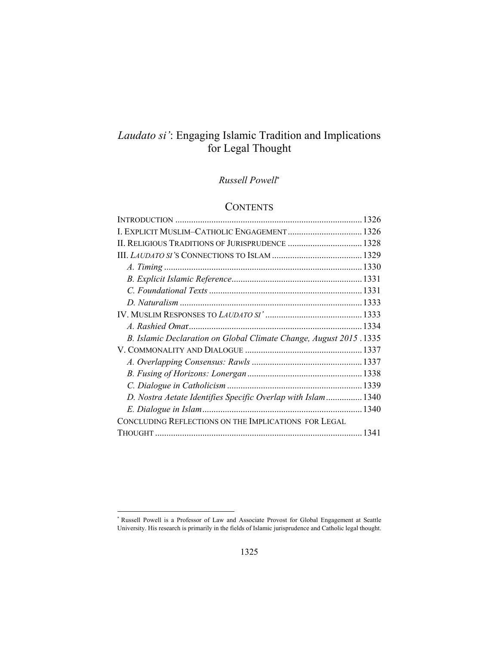# *Laudato si'*: Engaging Islamic Tradition and Implications for Legal Thought

### *Russell Powell*

## **CONTENTS**

| I. EXPLICIT MUSLIM-CATHOLIC ENGAGEMENT  1326                        |
|---------------------------------------------------------------------|
| II. RELIGIOUS TRADITIONS OF JURISPRUDENCE  1328                     |
|                                                                     |
|                                                                     |
|                                                                     |
|                                                                     |
|                                                                     |
|                                                                     |
|                                                                     |
| B. Islamic Declaration on Global Climate Change, August 2015 . 1335 |
|                                                                     |
|                                                                     |
|                                                                     |
|                                                                     |
| D. Nostra Aetate Identifies Specific Overlap with Islam1340         |
|                                                                     |
|                                                                     |
|                                                                     |
|                                                                     |

1

<sup>\*</sup> Russell Powell is a Professor of Law and Associate Provost for Global Engagement at Seattle University. His research is primarily in the fields of Islamic jurisprudence and Catholic legal thought.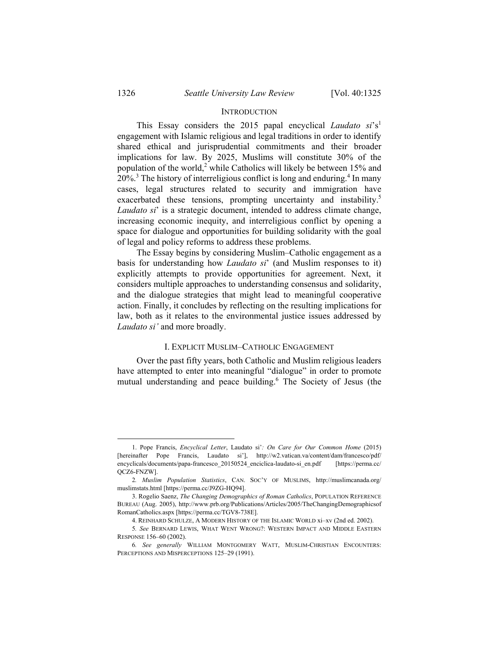#### **INTRODUCTION**

This Essay considers the 2015 papal encyclical *Laudato si*'s1 engagement with Islamic religious and legal traditions in order to identify shared ethical and jurisprudential commitments and their broader implications for law. By 2025, Muslims will constitute 30% of the population of the world,<sup>2</sup> while Catholics will likely be between 15% and 20%.<sup>3</sup> The history of interreligious conflict is long and enduring.<sup>4</sup> In many cases, legal structures related to security and immigration have exacerbated these tensions, prompting uncertainty and instability.<sup>5</sup> *Laudato si*' is a strategic document, intended to address climate change, increasing economic inequity, and interreligious conflict by opening a space for dialogue and opportunities for building solidarity with the goal of legal and policy reforms to address these problems.

The Essay begins by considering Muslim–Catholic engagement as a basis for understanding how *Laudato si*' (and Muslim responses to it) explicitly attempts to provide opportunities for agreement. Next, it considers multiple approaches to understanding consensus and solidarity, and the dialogue strategies that might lead to meaningful cooperative action. Finally, it concludes by reflecting on the resulting implications for law, both as it relates to the environmental justice issues addressed by *Laudato si'* and more broadly.

#### I. EXPLICIT MUSLIM–CATHOLIC ENGAGEMENT

Over the past fifty years, both Catholic and Muslim religious leaders have attempted to enter into meaningful "dialogue" in order to promote mutual understanding and peace building.<sup>6</sup> The Society of Jesus (the

 <sup>1.</sup> Pope Francis, *Encyclical Letter*, Laudato si'*: On Care for Our Common Home* (2015) [hereinafter Pope Francis, Laudato si'], http://w2.vatican.va/content/dam/francesco/pdf/ encyclicals/documents/papa-francesco\_20150524\_enciclica-laudato-si\_en.pdf [https://perma.cc/ QCZ6-FNZW].

<sup>2</sup>*. Muslim Population Statistics*, CAN. SOC'Y OF MUSLIMS, http://muslimcanada.org/ muslimstats.html [https://perma.cc/J9ZG-HQ94].

 <sup>3.</sup> Rogelio Saenz, *The Changing Demographics of Roman Catholics*, POPULATION REFERENCE BUREAU (Aug. 2005), http://www.prb.org/Publications/Articles/2005/TheChangingDemographicsof RomanCatholics.aspx [https://perma.cc/TGV8-738E].

 <sup>4.</sup> REINHARD SCHULZE, A MODERN HISTORY OF THE ISLAMIC WORLD xi–xv (2nd ed. 2002).

<sup>5</sup>*. See* BERNARD LEWIS, WHAT WENT WRONG?: WESTERN IMPACT AND MIDDLE EASTERN RESPONSE 156–60 (2002).

<sup>6</sup>*. See generally* WILLIAM MONTGOMERY WATT, MUSLIM-CHRISTIAN ENCOUNTERS: PERCEPTIONS AND MISPERCEPTIONS 125–29 (1991).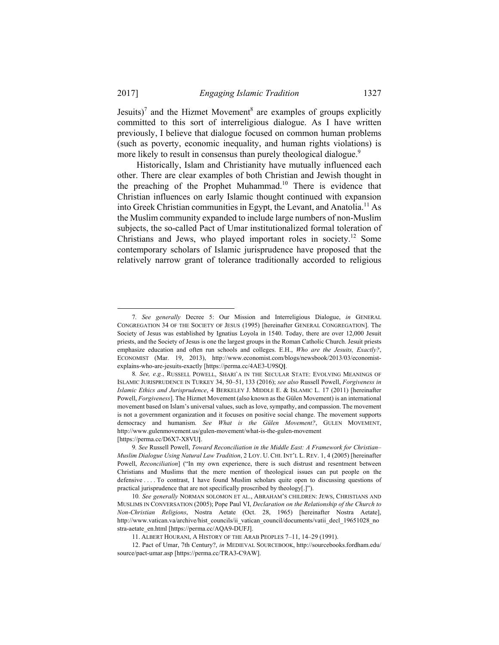Jesuits)<sup>7</sup> and the Hizmet Movement<sup>8</sup> are examples of groups explicitly committed to this sort of interreligious dialogue. As I have written previously, I believe that dialogue focused on common human problems (such as poverty, economic inequality, and human rights violations) is more likely to result in consensus than purely theological dialogue.<sup>9</sup>

Historically, Islam and Christianity have mutually influenced each other. There are clear examples of both Christian and Jewish thought in the preaching of the Prophet Muhammad.10 There is evidence that Christian influences on early Islamic thought continued with expansion into Greek Christian communities in Egypt, the Levant, and Anatolia.11 As the Muslim community expanded to include large numbers of non-Muslim subjects, the so-called Pact of Umar institutionalized formal toleration of Christians and Jews, who played important roles in society.12 Some contemporary scholars of Islamic jurisprudence have proposed that the relatively narrow grant of tolerance traditionally accorded to religious

 <sup>7</sup>*. See generally* Decree 5: Our Mission and Interreligious Dialogue, *in* GENERAL CONGREGATION 34 OF THE SOCIETY OF JESUS (1995) [hereinafter GENERAL CONGREGATION]. The Society of Jesus was established by Ignatius Loyola in 1540. Today, there are over 12,000 Jesuit priests, and the Society of Jesus is one the largest groups in the Roman Catholic Church. Jesuit priests emphasize education and often run schools and colleges. E.H., *Who are the Jesuits, Exactly?*, ECONOMIST (Mar. 19, 2013), http://www.economist.com/blogs/newsbook/2013/03/economistexplains-who-are-jesuits-exactly [https://perma.cc/4AE3-U9SQ**]**.

<sup>8</sup>*. See, e.g.*, RUSSELL POWELL, SHARI`A IN THE SECULAR STATE: EVOLVING MEANINGS OF ISLAMIC JURISPRUDENCE IN TURKEY 34, 50–51, 133 (2016); *see also* Russell Powell, *Forgiveness in Islamic Ethics and Jurisprudence*, 4 BERKELEY J. MIDDLE E. & ISLAMIC L. 17 (2011) [hereinafter Powell, *Forgiveness*]. The Hizmet Movement (also known as the Gülen Movement) is an international movement based on Islam's universal values, such as love, sympathy, and compassion. The movement is not a government organization and it focuses on positive social change. The movement supports democracy and humanism. *See What is the Gülen Movement?*, GULEN MOVEMENT, http://www.gulenmovement.us/gulen-movement/what-is-the-gulen-movement [https://perma.cc/D6X7-X8VU**]**.

<sup>9</sup>*. See* Russell Powell, *Toward Reconciliation in the Middle East: A Framework for Christian*– *Muslim Dialogue Using Natural Law Tradition*, 2 LOY. U. CHI. INT'L L. REV. 1, 4 (2005) [hereinafter Powell, *Reconciliation*] ("In my own experience, there is such distrust and resentment between Christians and Muslims that the mere mention of theological issues can put people on the defensive . . . . To contrast, I have found Muslim scholars quite open to discussing questions of practical jurisprudence that are not specifically proscribed by theology[.]").

<sup>10</sup>*. See generally* NORMAN SOLOMON ET AL., ABRAHAM'S CHILDREN: JEWS, CHRISTIANS AND MUSLIMS IN CONVERSATION (2005); Pope Paul VI, *Declaration on the Relationship of the Church to Non-Christian Religions*, Nostra Aetate (Oct. 28, 1965) [hereinafter Nostra Aetate], http://www.vatican.va/archive/hist\_councils/ii\_vatican\_council/documents/vatii\_decl\_19651028\_no stra-aetate\_en.html [https://perma.cc/AQA9-DUFJ].

 <sup>11.</sup> ALBERT HOURANI, A HISTORY OF THE ARAB PEOPLES 7–11, 14–29 (1991).

 <sup>12.</sup> Pact of Umar, 7th Century?, *in* MEDIEVAL SOURCEBOOK, http://sourcebooks.fordham.edu/ source/pact-umar.asp [https://perma.cc/TRA3-C9AW].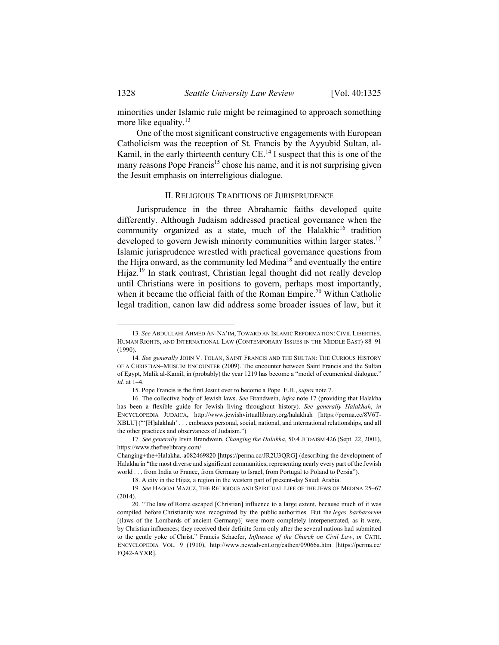minorities under Islamic rule might be reimagined to approach something more like equality. $13$ 

One of the most significant constructive engagements with European Catholicism was the reception of St. Francis by the Ayyubid Sultan, al-Kamil, in the early thirteenth century  $CE$ .<sup>14</sup> I suspect that this is one of the many reasons Pope Francis<sup>15</sup> chose his name, and it is not surprising given the Jesuit emphasis on interreligious dialogue.

#### II. RELIGIOUS TRADITIONS OF JURISPRUDENCE

Jurisprudence in the three Abrahamic faiths developed quite differently. Although Judaism addressed practical governance when the community organized as a state, much of the Halakhic<sup>16</sup> tradition developed to govern Jewish minority communities within larger states.<sup>17</sup> Islamic jurisprudence wrestled with practical governance questions from the Hijra onward, as the community led Medina18 and eventually the entire Hijaz.<sup>19</sup> In stark contrast, Christian legal thought did not really develop until Christians were in positions to govern, perhaps most importantly, when it became the official faith of the Roman Empire.<sup>20</sup> Within Catholic legal tradition, canon law did address some broader issues of law, but it

 <sup>13</sup>*. See* ABDULLAHI AHMED AN-NA'IM, TOWARD AN ISLAMIC REFORMATION: CIVIL LIBERTIES, HUMAN RIGHTS, AND INTERNATIONAL LAW (CONTEMPORARY ISSUES IN THE MIDDLE EAST) 88–91 (1990).

<sup>14</sup>*. See generally* JOHN V. TOLAN, SAINT FRANCIS AND THE SULTAN: THE CURIOUS HISTORY OF A CHRISTIAN–MUSLIM ENCOUNTER (2009). The encounter between Saint Francis and the Sultan of Egypt, Malik al-Kamil, in (probably) the year 1219 has become a "model of ecumenical dialogue." *Id.* at 1–4.

 <sup>15.</sup> Pope Francis is the first Jesuit ever to become a Pope. E.H., *supra* note 7.

 <sup>16.</sup> The collective body of Jewish laws. *See* Brandwein, *infra* note 17 (providing that Halakha has been a flexible guide for Jewish living throughout history). *See generally Halakhah*, *in*  ENCYCLOPEDIA JUDAICA, http://www.jewishvirtuallibrary.org/halakhah [https://perma.cc/8V6T-XBLU] ("'[H]alakhah' . . . embraces personal, social, national, and international relationships, and all the other practices and observances of Judaism.")

<sup>17</sup>*. See generally* Irvin Brandwein, *Changing the Halakha*, 50.4 JUDAISM 426 (Sept. 22, 2001), https://www.thefreelibrary.com/

Changing+the+Halakha.-a082469820 [https://perma.cc/JR2U3QRG] (describing the development of Halakha in "the most diverse and significant communities, representing nearly every part of the Jewish world . . . from India to France, from Germany to Israel, from Portugal to Poland to Persia").

 <sup>18.</sup> A city in the Hijaz, a region in the western part of present-day Saudi Arabia.

<sup>19</sup>*. See* HAGGAI MAZUZ, THE RELIGIOUS AND SPIRITUAL LIFE OF THE JEWS OF MEDINA 25–67 (2014).

 <sup>20. &</sup>quot;The law of Rome escaped [Christian] influence to a large extent, because much of it was compiled before Christianity was recognized by the public authorities. But the *leges barbarorum* [(laws of the Lombards of ancient Germany)] were more completely interpenetrated, as it were, by Christian influences; they received their definite form only after the several nations had submitted to the gentle yoke of Christ." Francis Schaefer, *Influence of the Church on Civil Law*, *in* CATH. ENCYCLOPEDIA VOL. 9 (1910), http://www.newadvent.org/cathen/09066a.htm [https://perma.cc/ FQ42-AYXR].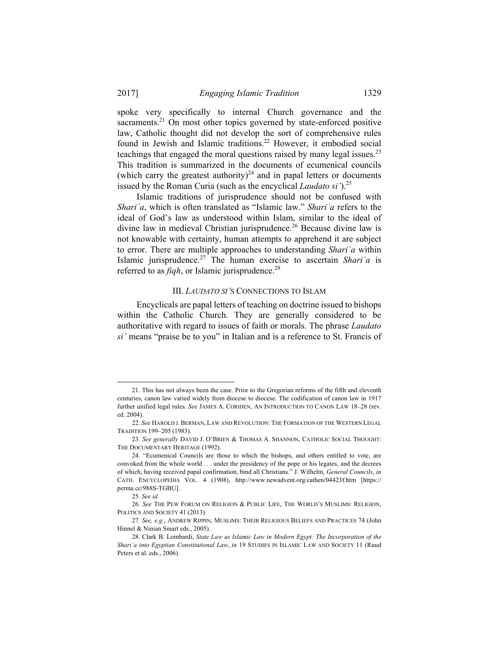spoke very specifically to internal Church governance and the sacraments.<sup>21</sup> On most other topics governed by state-enforced positive law, Catholic thought did not develop the sort of comprehensive rules found in Jewish and Islamic traditions.<sup>22</sup> However, it embodied social teachings that engaged the moral questions raised by many legal issues.<sup>23</sup> This tradition is summarized in the documents of ecumenical councils (which carry the greatest authority)<sup>24</sup> and in papal letters or documents issued by the Roman Curia (such as the encyclical *Laudato si'*).<sup>25</sup>

Islamic traditions of jurisprudence should not be confused with *Shariʿa*, which is often translated as "Islamic law." *Shariʿa* refers to the ideal of God's law as understood within Islam, similar to the ideal of divine law in medieval Christian jurisprudence.<sup>26</sup> Because divine law is not knowable with certainty, human attempts to apprehend it are subject to error. There are multiple approaches to understanding *Shariʿa* within Islamic jurisprudence.27 The human exercise to ascertain *Shariʿa* is referred to as *fiqh*, or Islamic jurisprudence.<sup>28</sup>

#### III. *LAUDATO SI'*S CONNECTIONS TO ISLAM

Encyclicals are papal letters of teaching on doctrine issued to bishops within the Catholic Church. They are generally considered to be authoritative with regard to issues of faith or morals. The phrase *Laudato si'* means "praise be to you" in Italian and is a reference to St. Francis of

 <sup>21.</sup> This has not always been the case. Prior to the Gregorian reforms of the fifth and eleventh centuries, canon law varied widely from diocese to diocese. The codification of canon law in 1917 further unified legal rules. *See* JAMES A. CORIDEN, AN INTRODUCTION TO CANON LAW 18–28 (rev. ed. 2004).

<sup>22</sup>*. See* HAROLD J. BERMAN, LAW AND REVOLUTION: THE FORMATION OF THE WESTERN LEGAL TRADITION 199–205 (1983).

<sup>23</sup>*. See generally* DAVID J. O'BRIEN & THOMAS A. SHANNON, CATHOLIC SOCIAL THOUGHT: THE DOCUMENTARY HERITAGE (1992).

 <sup>24. &</sup>quot;Ecumenical Councils are those to which the bishops, and others entitled to vote, are convoked from the whole world . . . under the presidency of the pope or his legates, and the decrees of which, having received papal confirmation, bind all Christians." J. Wilhelm, *General Councils*, *in* CATH. ENCYCLOPEDIA VOL. 4 (1908), http://www.newadvent.org/cathen/04423f.htm [https:// perma.cc/988S-TGBU].

<sup>25</sup>*. See id.*

<sup>26</sup>*. See* THE PEW FORUM ON RELIGION & PUBLIC LIFE, THE WORLD'S MUSLIMS: RELIGION, POLITICS AND SOCIETY 41 (2013)*.* 

<sup>27</sup>*. See, e.g.*, ANDREW RIPPIN, MUSLIMS: THEIR RELIGIOUS BELIEFS AND PRACTICES 74 (John Hinnel & Ninian Smart eds., 2005).

 <sup>28.</sup> Clark B. Lombardi, *State Law as Islamic Law in Modern Egypt: The Incorporation of the Shariʿa into Egyptian Constitutional Law*, *in* 19 STUDIES IN ISLAMIC LAW AND SOCIETY 11 (Ruud Peters et al. eds., 2006).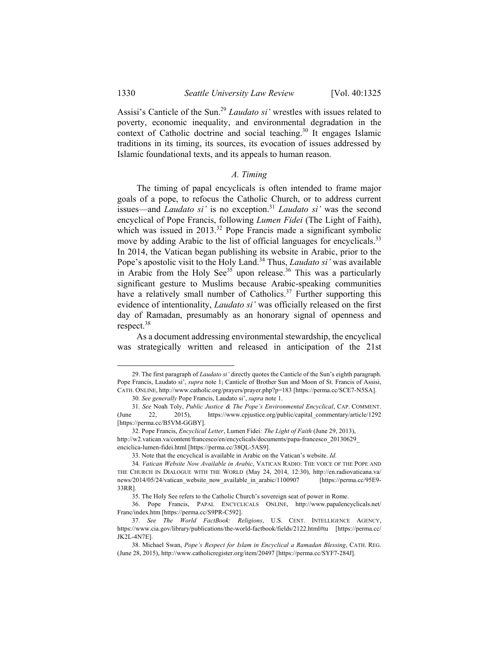Assisi's Canticle of the Sun.<sup>29</sup> *Laudato si'* wrestles with issues related to poverty, economic inequality, and environmental degradation in the context of Catholic doctrine and social teaching.<sup>30</sup> It engages Islamic traditions in its timing, its sources, its evocation of issues addressed by Islamic foundational texts, and its appeals to human reason.

#### *A. Timing*

The timing of papal encyclicals is often intended to frame major goals of a pope, to refocus the Catholic Church, or to address current issues—and *Laudato si'* is no exception.<sup>31</sup> *Laudato si'* was the second encyclical of Pope Francis, following *Lumen Fidei* (The Light of Faith), which was issued in  $2013<sup>32</sup>$  Pope Francis made a significant symbolic move by adding Arabic to the list of official languages for encyclicals.<sup>33</sup> In 2014, the Vatican began publishing its website in Arabic, prior to the Pope's apostolic visit to the Holy Land.34 Thus, *Laudato si'* was available in Arabic from the Holy See<sup>35</sup> upon release.<sup>36</sup> This was a particularly significant gesture to Muslims because Arabic-speaking communities have a relatively small number of Catholics.<sup>37</sup> Further supporting this evidence of intentionality, *Laudato si'* was officially released on the first day of Ramadan, presumably as an honorary signal of openness and respect.<sup>38</sup>

As a document addressing environmental stewardship, the encyclical was strategically written and released in anticipation of the 21st

 <sup>29.</sup> The first paragraph of *Laudato si'* directly quotes the Canticle of the Sun's eighth paragraph. Pope Francis, Laudato si', *supra* note 1; Canticle of Brother Sun and Moon of St. Francis of Assisi, CATH. ONLINE, http://www.catholic.org/prayers/prayer.php?p=183 [https://perma.cc/SCE7-N5SA].

<sup>30</sup>*. See generally* Pope Francis, Laudato si', *supra* note 1.

<sup>31</sup>*. See* Noah Toly, *Public Justice & The Pope's Environmental Encyclical*, CAP. COMMENT. (June 22, 2015), https://www.cpjustice.org/public/capital\_commentary/article/1292 [https://perma.cc/B5VM-GGBY].

 <sup>32.</sup> Pope Francis, *Encyclical Letter*, Lumen Fidei*: The Light of Faith* (June 29, 2013), http://w2.vatican.va/content/francesco/en/encyclicals/documents/papa-francesco\_20130629\_ enciclica-lumen-fidei.html [https://perma.cc/38QL-5AS9].

 <sup>33.</sup> Note that the encyclical is available in Arabic on the Vatican's website. *Id.*

<sup>34</sup>*. Vatican Website Now Available in Arabic*, VATICAN RADIO: THE VOICE OF THE POPE AND THE CHURCH IN DIALOGUE WITH THE WORLD (May 24, 2014, 12:30), http://en.radiovaticana.va/ news/2014/05/24/vatican\_website\_now\_available\_in\_arabic/1100907 [https://perma.cc/95E9-33RR].

 <sup>35.</sup> The Holy See refers to the Catholic Church's sovereign seat of power in Rome.

 <sup>36.</sup> Pope Francis, PAPAL ENCYCLICALS ONLINE, http://www.papalencyclicals.net/ Franc/index.htm [https://perma.cc/S9PR-C592].

<sup>37</sup>*. See The World FactBook: Religions*, U.S. CENT. INTELLIGENCE AGENCY, https://www.cia.gov/library/publications/the-world-factbook/fields/2122.html#tu [https://perma.cc/ JK2L-4N7E].

 <sup>38.</sup> Michael Swan, *Pope's Respect for Islam in Encyclical a Ramadan Blessing*, CATH. REG. (June 28, 2015), http://www.catholicregister.org/item/20497 [https://perma.cc/SYF7-284J].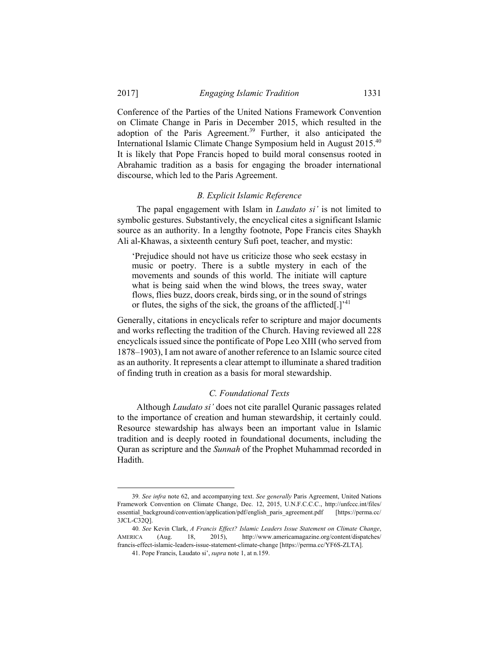Conference of the Parties of the United Nations Framework Convention on Climate Change in Paris in December 2015, which resulted in the adoption of the Paris Agreement.<sup>39</sup> Further, it also anticipated the International Islamic Climate Change Symposium held in August 2015.40 It is likely that Pope Francis hoped to build moral consensus rooted in Abrahamic tradition as a basis for engaging the broader international discourse, which led to the Paris Agreement.

#### *B. Explicit Islamic Reference*

The papal engagement with Islam in *Laudato si'* is not limited to symbolic gestures. Substantively, the encyclical cites a significant Islamic source as an authority. In a lengthy footnote, Pope Francis cites Shaykh Ali al-Khawas, a sixteenth century Sufi poet, teacher, and mystic:

'Prejudice should not have us criticize those who seek ecstasy in music or poetry. There is a subtle mystery in each of the movements and sounds of this world. The initiate will capture what is being said when the wind blows, the trees sway, water flows, flies buzz, doors creak, birds sing, or in the sound of strings or flutes, the sighs of the sick, the groans of the afflicted[.]<sup>'41</sup>

Generally, citations in encyclicals refer to scripture and major documents and works reflecting the tradition of the Church. Having reviewed all 228 encyclicals issued since the pontificate of Pope Leo XIII (who served from 1878–1903), I am not aware of another reference to an Islamic source cited as an authority. It represents a clear attempt to illuminate a shared tradition of finding truth in creation as a basis for moral stewardship.

#### *C. Foundational Texts*

Although *Laudato si'* does not cite parallel Quranic passages related to the importance of creation and human stewardship, it certainly could. Resource stewardship has always been an important value in Islamic tradition and is deeply rooted in foundational documents, including the Quran as scripture and the *Sunnah* of the Prophet Muhammad recorded in Hadith.

 <sup>39</sup>*. See infra* note 62, and accompanying text. *See generally* Paris Agreement, United Nations Framework Convention on Climate Change, Dec. 12, 2015, U.N.F.C.C.C., http://unfccc.int/files/ essential\_background/convention/application/pdf/english\_paris\_agreement.pdf [https://perma.cc/ 3JCL-C32Q].

<sup>40</sup>*. See* Kevin Clark, *A Francis Effect? Islamic Leaders Issue Statement on Climate Change*, AMERICA (Aug. 18, 2015), http://www.americamagazine.org/content/dispatches/ francis-effect-islamic-leaders-issue-statement-climate-change [https://perma.cc/YF6S-ZLTA].

 <sup>41.</sup> Pope Francis, Laudato si', *supra* note 1, at n.159.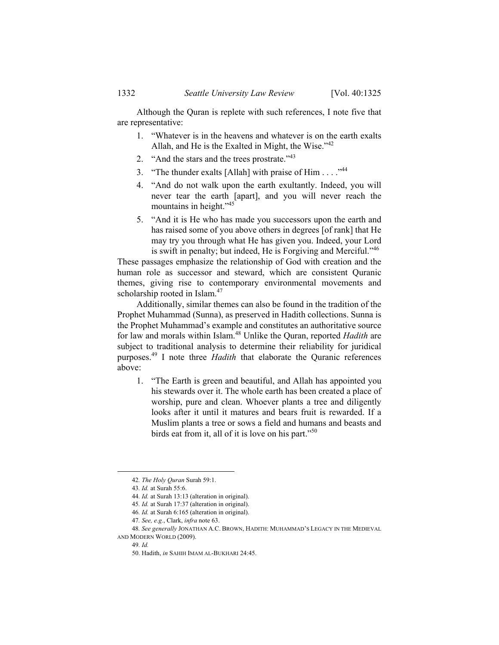Although the Quran is replete with such references, I note five that are representative:

- 1. "Whatever is in the heavens and whatever is on the earth exalts Allah, and He is the Exalted in Might, the Wise."<sup>42</sup>
- 2. "And the stars and the trees prostrate."<sup>43</sup>
- 3. "The thunder exalts [Allah] with praise of  $\text{Him} \dots$ ."<sup>44</sup>
- 4. "And do not walk upon the earth exultantly. Indeed, you will never tear the earth [apart], and you will never reach the mountains in height."<sup>45</sup>
- 5. "And it is He who has made you successors upon the earth and has raised some of you above others in degrees [of rank] that He may try you through what He has given you. Indeed, your Lord is swift in penalty; but indeed, He is Forgiving and Merciful."<sup>46</sup>

These passages emphasize the relationship of God with creation and the human role as successor and steward, which are consistent Quranic themes, giving rise to contemporary environmental movements and scholarship rooted in Islam.<sup>47</sup>

Additionally, similar themes can also be found in the tradition of the Prophet Muhammad (Sunna), as preserved in Hadith collections. Sunna is the Prophet Muhammad's example and constitutes an authoritative source for law and morals within Islam.48 Unlike the Quran, reported *Hadith* are subject to traditional analysis to determine their reliability for juridical purposes.49 I note three *Hadith* that elaborate the Quranic references above:

1. "The Earth is green and beautiful, and Allah has appointed you his stewards over it. The whole earth has been created a place of worship, pure and clean. Whoever plants a tree and diligently looks after it until it matures and bears fruit is rewarded. If a Muslim plants a tree or sows a field and humans and beasts and birds eat from it, all of it is love on his part."<sup>50</sup>

 <sup>42</sup>*. The Holy Quran* Surah 59:1.

<sup>43</sup>*. Id.* at Surah 55:6.

<sup>44</sup>*. Id.* at Surah 13:13 (alteration in original).

<sup>45</sup>*. Id.* at Surah 17:37 (alteration in original).

<sup>46</sup>*. Id.* at Surah 6:165 (alteration in original).

<sup>47</sup>*. See, e.g.*, Clark, *infra* note 63.

<sup>48</sup>*. See generally* JONATHAN A.C. BROWN, HADITH: MUHAMMAD'S LEGACY IN THE MEDIEVAL AND MODERN WORLD (2009).

<sup>49</sup>*. Id.*

 <sup>50.</sup> Hadith, *in* SAHIH IMAM AL-BUKHARI 24:45.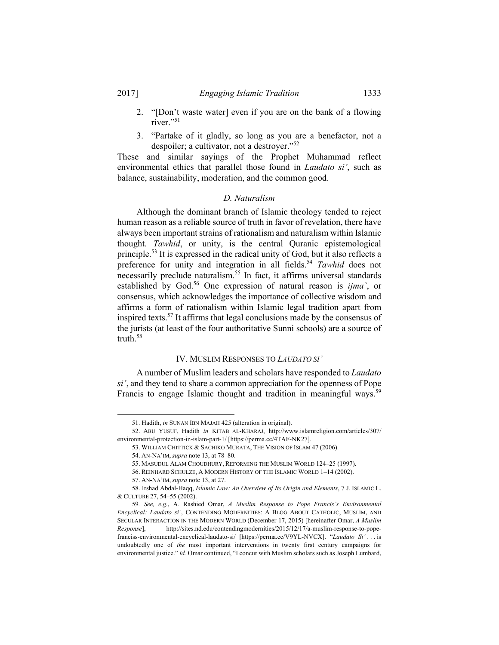- 2. "[Don't waste water] even if you are on the bank of a flowing river."<sup>51</sup>
- 3. "Partake of it gladly, so long as you are a benefactor, not a despoiler; a cultivator, not a destroyer."<sup>52</sup>

These and similar sayings of the Prophet Muhammad reflect environmental ethics that parallel those found in *Laudato si'*, such as balance, sustainability, moderation, and the common good.

#### *D. Naturalism*

Although the dominant branch of Islamic theology tended to reject human reason as a reliable source of truth in favor of revelation, there have always been important strains of rationalism and naturalism within Islamic thought. *Tawhid*, or unity, is the central Quranic epistemological principle.<sup>53</sup> It is expressed in the radical unity of God, but it also reflects a preference for unity and integration in all fields.<sup>54</sup> *Tawhid* does not necessarily preclude naturalism.<sup>55</sup> In fact, it affirms universal standards established by God.56 One expression of natural reason is *ijma`*, or consensus, which acknowledges the importance of collective wisdom and affirms a form of rationalism within Islamic legal tradition apart from inspired texts.57 It affirms that legal conclusions made by the consensus of the jurists (at least of the four authoritative Sunni schools) are a source of truth.58

#### IV. MUSLIM RESPONSES TO *LAUDATO SI'*

A number of Muslim leaders and scholars have responded to *Laudato si'*, and they tend to share a common appreciation for the openness of Pope Francis to engage Islamic thought and tradition in meaningful ways.<sup>59</sup>

1

 <sup>51.</sup> Hadith, *in* SUNAN IBN MAJAH 425 (alteration in original).

 <sup>52.</sup> ABU YUSUF, Hadith *in* KITAB AL-KHARAJ, http://www.islamreligion.com/articles/307/ environmental-protection-in-islam-part-1/ [https://perma.cc/4TAF-NK27].

 <sup>53.</sup> WILLIAM CHITTICK & SACHIKO MURATA, THE VISION OF ISLAM 47 (2006).

 <sup>54.</sup> AN-NA'IM, *supra* note 13, at 78–80.

 <sup>55.</sup> MASUDUL ALAM CHOUDHURY, REFORMING THE MUSLIM WORLD 124–25 (1997).

 <sup>56.</sup> REINHARD SCHULZE, A MODERN HISTORY OF THE ISLAMIC WORLD 1–14 (2002).

 <sup>57.</sup> AN-NA'IM, *supra* note 13, at 27.

 <sup>58.</sup> Irshad Abdal-Haqq, *Islamic Law: An Overview of Its Origin and Elements*, 7 J. ISLAMIC L. & CULTURE 27, 54–55 (2002).

<sup>59</sup>*. See, e.g.*, A. Rashied Omar, *A Muslim Response to Pope Francis's Environmental Encyclical: Laudato si'*, CONTENDING MODERNITIES: A BLOG ABOUT CATHOLIC, MUSLIM, AND SECULAR INTERACTION IN THE MODERN WORLD (December 17, 2015) [hereinafter Omar, *A Muslim Response*], http://sites.nd.edu/contendingmodernities/2015/12/17/a-muslim-response-to-popefranciss-environmental-encyclical-laudato-si/ [https://perma.cc/V9YL-NVCX]. "*Laudato Si'* . . . is undoubtedly one of *the* most important interventions in twenty first century campaigns for environmental justice." *Id.* Omar continued, "I concur with Muslim scholars such as Joseph Lumbard,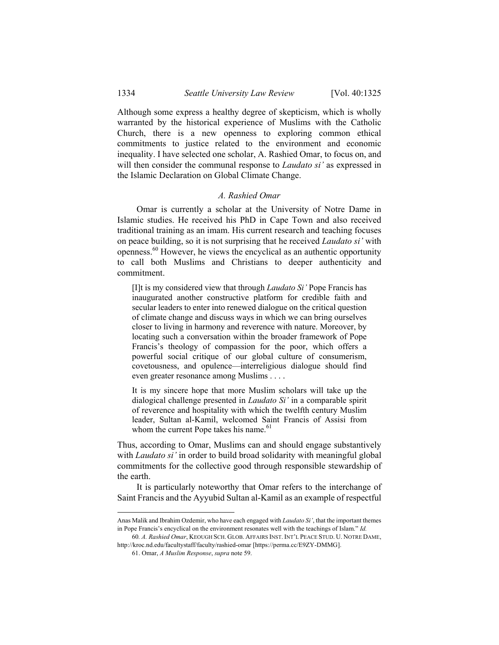Although some express a healthy degree of skepticism, which is wholly warranted by the historical experience of Muslims with the Catholic Church, there is a new openness to exploring common ethical commitments to justice related to the environment and economic inequality. I have selected one scholar, A. Rashied Omar, to focus on, and will then consider the communal response to *Laudato si'* as expressed in the Islamic Declaration on Global Climate Change.

#### *A. Rashied Omar*

Omar is currently a scholar at the University of Notre Dame in Islamic studies. He received his PhD in Cape Town and also received traditional training as an imam. His current research and teaching focuses on peace building, so it is not surprising that he received *Laudato si'* with openness.60 However, he views the encyclical as an authentic opportunity to call both Muslims and Christians to deeper authenticity and commitment.

[I]t is my considered view that through *Laudato Si'* Pope Francis has inaugurated another constructive platform for credible faith and secular leaders to enter into renewed dialogue on the critical question of climate change and discuss ways in which we can bring ourselves closer to living in harmony and reverence with nature. Moreover, by locating such a conversation within the broader framework of Pope Francis's theology of compassion for the poor, which offers a powerful social critique of our global culture of consumerism, covetousness, and opulence—interreligious dialogue should find even greater resonance among Muslims . . . .

It is my sincere hope that more Muslim scholars will take up the dialogical challenge presented in *Laudato Si'* in a comparable spirit of reverence and hospitality with which the twelfth century Muslim leader, Sultan al-Kamil, welcomed Saint Francis of Assisi from whom the current Pope takes his name.<sup>61</sup>

Thus, according to Omar, Muslims can and should engage substantively with *Laudato si'* in order to build broad solidarity with meaningful global commitments for the collective good through responsible stewardship of the earth.

It is particularly noteworthy that Omar refers to the interchange of Saint Francis and the Ayyubid Sultan al-Kamil as an example of respectful

1

Anas Malik and Ibrahim Ozdemir, who have each engaged with *Laudato Si'*, that the important themes in Pope Francis's encyclical on the environment resonates well with the teachings of Islam." *Id.* 

<sup>60</sup>*. A. Rashied Omar*, KEOUGH SCH. GLOB. AFFAIRS INST. INT'L PEACE STUD. U. NOTRE DAME, http://kroc.nd.edu/facultystaff/faculty/rashied-omar [https://perma.cc/E9ZY-DMMG].

 <sup>61.</sup> Omar, *A Muslim Response*, *supra* note 59.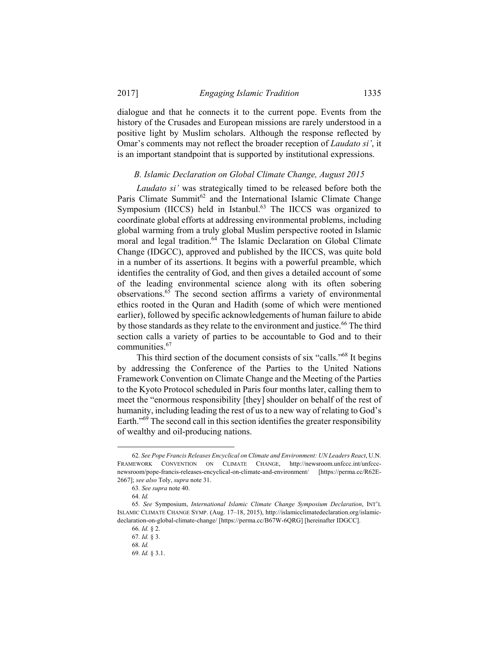dialogue and that he connects it to the current pope. Events from the history of the Crusades and European missions are rarely understood in a positive light by Muslim scholars. Although the response reflected by Omar's comments may not reflect the broader reception of *Laudato si'*, it is an important standpoint that is supported by institutional expressions.

#### *B. Islamic Declaration on Global Climate Change, August 2015*

*Laudato si'* was strategically timed to be released before both the Paris Climate Summit<sup>62</sup> and the International Islamic Climate Change Symposium (IICCS) held in Istanbul.<sup>63</sup> The IICCS was organized to coordinate global efforts at addressing environmental problems, including global warming from a truly global Muslim perspective rooted in Islamic moral and legal tradition.<sup>64</sup> The Islamic Declaration on Global Climate Change (IDGCC), approved and published by the IICCS, was quite bold in a number of its assertions. It begins with a powerful preamble, which identifies the centrality of God, and then gives a detailed account of some of the leading environmental science along with its often sobering observations.65 The second section affirms a variety of environmental ethics rooted in the Quran and Hadith (some of which were mentioned earlier), followed by specific acknowledgements of human failure to abide by those standards as they relate to the environment and justice.<sup>66</sup> The third section calls a variety of parties to be accountable to God and to their communities.<sup>67</sup>

This third section of the document consists of six "calls."<sup>68</sup> It begins by addressing the Conference of the Parties to the United Nations Framework Convention on Climate Change and the Meeting of the Parties to the Kyoto Protocol scheduled in Paris four months later, calling them to meet the "enormous responsibility [they] shoulder on behalf of the rest of humanity, including leading the rest of us to a new way of relating to God's Earth."<sup>69</sup> The second call in this section identifies the greater responsibility of wealthy and oil-producing nations.

 <sup>62</sup>*. See Pope Francis Releases Encyclical on Climate and Environment: UN Leaders React*, U.N. FRAMEWORK CONVENTION ON CLIMATE CHANGE, http://newsroom.unfccc.int/unfcccnewsroom/pope-francis-releases-encyclical-on-climate-and-environment/ [https://perma.cc/R62E-2667]; *see also* Toly, *supra* note 31.

<sup>63</sup>*. See supra* note 40.

<sup>64</sup>*. Id.* 

<sup>65</sup>*. See* Symposium, *International Islamic Climate Change Symposium Declaration*, INT'L ISLAMIC CLIMATE CHANGE SYMP. (Aug. 17–18, 2015), http://islamicclimatedeclaration.org/islamicdeclaration-on-global-climate-change/ [https://perma.cc/B67W-6QRG] [hereinafter IDGCC].

<sup>66</sup>*. Id.* § 2.

<sup>67</sup>*. Id.* § 3.

<sup>68</sup>*. Id.*

<sup>69</sup>*. Id.* § 3.1.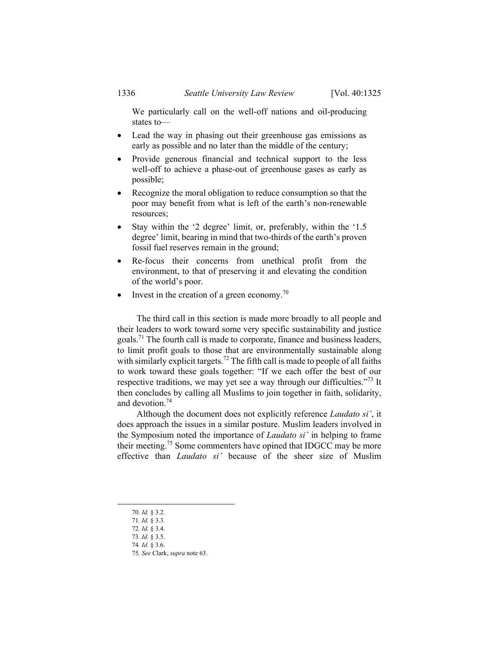We particularly call on the well-off nations and oil-producing states to—

- Lead the way in phasing out their greenhouse gas emissions as early as possible and no later than the middle of the century;
- Provide generous financial and technical support to the less well-off to achieve a phase-out of greenhouse gases as early as possible;
- Recognize the moral obligation to reduce consumption so that the poor may benefit from what is left of the earth's non-renewable resources;
- Stay within the '2 degree' limit, or, preferably, within the '1.5 degree' limit, bearing in mind that two-thirds of the earth's proven fossil fuel reserves remain in the ground;
- Re-focus their concerns from unethical profit from the environment, to that of preserving it and elevating the condition of the world's poor.
- $\bullet$  Invest in the creation of a green economy.<sup>70</sup>

The third call in this section is made more broadly to all people and their leaders to work toward some very specific sustainability and justice goals.71 The fourth call is made to corporate, finance and business leaders, to limit profit goals to those that are environmentally sustainable along with similarly explicit targets.<sup>72</sup> The fifth call is made to people of all faiths to work toward these goals together: "If we each offer the best of our respective traditions, we may yet see a way through our difficulties."<sup>73</sup> It then concludes by calling all Muslims to join together in faith, solidarity, and devotion.74

Although the document does not explicitly reference *Laudato si'*, it does approach the issues in a similar posture. Muslim leaders involved in the Symposium noted the importance of *Laudato si'* in helping to frame their meeting.75 Some commenters have opined that IDGCC may be more effective than *Laudato si'* because of the sheer size of Muslim

74*. Id.* § 3.6.

 <sup>70</sup>*. Id.* § 3.2.

<sup>71</sup>*. Id.* § 3.3.

<sup>72</sup>*. Id.* § 3.4.

<sup>73</sup>*. Id.* § 3.5.

<sup>75</sup>*. See* Clark, *supra* note 63.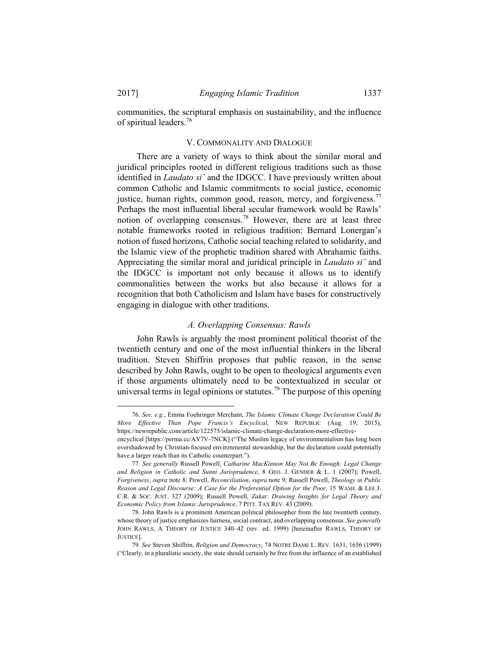communities, the scriptural emphasis on sustainability, and the influence of spiritual leaders.<sup>76</sup>

#### V. COMMONALITY AND DIALOGUE

There are a variety of ways to think about the similar moral and juridical principles rooted in different religious traditions such as those identified in *Laudato si'* and the IDGCC. I have previously written about common Catholic and Islamic commitments to social justice, economic justice, human rights, common good, reason, mercy, and forgiveness.<sup>77</sup> Perhaps the most influential liberal secular framework would be Rawls' notion of overlapping consensus.<sup>78</sup> However, there are at least three notable frameworks rooted in religious tradition: Bernard Lonergan's notion of fused horizons, Catholic social teaching related to solidarity, and the Islamic view of the prophetic tradition shared with Abrahamic faiths. Appreciating the similar moral and juridical principle in *Laudato si'* and the IDGCC is important not only because it allows us to identify commonalities between the works but also because it allows for a recognition that both Catholicism and Islam have bases for constructively engaging in dialogue with other traditions.

#### *A. Overlapping Consensus: Rawls*

John Rawls is arguably the most prominent political theorist of the twentieth century and one of the most influential thinkers in the liberal tradition. Steven Shiffrin proposes that public reason, in the sense described by John Rawls, ought to be open to theological arguments even if those arguments ultimately need to be contextualized in secular or universal terms in legal opinions or statutes.<sup>79</sup> The purpose of this opening

 <sup>76</sup>*. See, e.g.*, Emma Foehringer Merchant, *The Islamic Climate Change Declaration Could Be More Effective Than Pope Francis's Encyclical*, NEW REPUBLIC (Aug. 19, 2015), https://newrepublic.com/article/122575/islamic-climate-change-declaration-more-effective-

encyclical [https://perma.cc/AY7V-7NCK] ("The Muslim legacy of environmentalism has long been overshadowed by Christian-focused environmental stewardship, but the declaration could potentially have a larger reach than its Catholic counterpart.").

<sup>77</sup>*. See generally* Russell Powell, *Catharine MacKinnon May Not Be Enough: Legal Change and Religion in Catholic and Sunni Jurisprudence*, 8 GEO. J. GENDER & L. 1 (2007); Powell, *Forgiveness*, *supra* note 8; Powell, *Reconciliation*, *supra* note 9; Russell Powell, *Theology in Public Reason and Legal Discourse: A Case for the Preferential Option for the Poor*, 15 WASH. & LEE J. C.R. & SOC. JUST. 327 (2009); Russell Powell, *Zakat: Drawing Insights for Legal Theory and Economic Policy from Islamic Jurisprudence*, 7 PITT. TAX REV. 43 (2009).

 <sup>78.</sup> John Rawls is a prominent American political philosopher from the late twentieth century, whose theory of justice emphasizes fairness, social contract, and overlapping consensus. *See generally* JOHN RAWLS, A THEORY OF JUSTICE 340–42 (rev. ed. 1999) [hereinafter RAWLS, THEORY OF JUSTICE].

<sup>79</sup>*. See* Steven Shiffrin, *Religion and Democracy*, 74 NOTRE DAME L. REV. 1631, 1656 (1999) ("Clearly, in a pluralistic society, the state should certainly be free from the influence of an established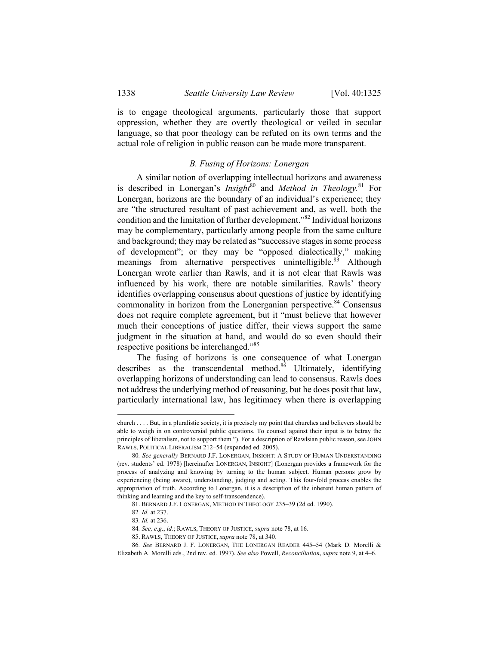is to engage theological arguments, particularly those that support oppression, whether they are overtly theological or veiled in secular language, so that poor theology can be refuted on its own terms and the actual role of religion in public reason can be made more transparent.

#### *B. Fusing of Horizons: Lonergan*

A similar notion of overlapping intellectual horizons and awareness is described in Lonergan's *Insight*<sup>80</sup> and *Method in Theology*.<sup>81</sup> For Lonergan, horizons are the boundary of an individual's experience; they are "the structured resultant of past achievement and, as well, both the condition and the limitation of further development."82 Individual horizons may be complementary, particularly among people from the same culture and background; they may be related as "successive stages in some process of development"; or they may be "opposed dialectically," making meanings from alternative perspectives unintelligible.<sup>83</sup> Although Lonergan wrote earlier than Rawls, and it is not clear that Rawls was influenced by his work, there are notable similarities. Rawls' theory identifies overlapping consensus about questions of justice by identifying commonality in horizon from the Lonerganian perspective.<sup>84</sup> Consensus does not require complete agreement, but it "must believe that however much their conceptions of justice differ, their views support the same judgment in the situation at hand, and would do so even should their respective positions be interchanged."85

The fusing of horizons is one consequence of what Lonergan describes as the transcendental method.<sup>86</sup> Ultimately, identifying overlapping horizons of understanding can lead to consensus. Rawls does not address the underlying method of reasoning, but he does posit that law, particularly international law, has legitimacy when there is overlapping

church . . . . But, in a pluralistic society, it is precisely my point that churches and believers should be able to weigh in on controversial public questions. To counsel against their input is to betray the principles of liberalism, not to support them."). For a description of Rawlsian public reason, see JOHN RAWLS, POLITICAL LIBERALISM 212–54 (expanded ed. 2005).

<sup>80</sup>*. See generally* BERNARD J.F. LONERGAN, INSIGHT: A STUDY OF HUMAN UNDERSTANDING (rev. students' ed. 1978) [hereinafter LONERGAN, INSIGHT] (Lonergan provides a framework for the process of analyzing and knowing by turning to the human subject. Human persons grow by experiencing (being aware), understanding, judging and acting. This four-fold process enables the appropriation of truth. According to Lonergan, it is a description of the inherent human pattern of thinking and learning and the key to self-transcendence).

 <sup>81.</sup> BERNARD J.F. LONERGAN, METHOD IN THEOLOGY 235–39 (2d ed. 1990).

<sup>82</sup>*. Id.* at 237.

<sup>83</sup>*. Id.* at 236.

<sup>84</sup>*. See, e.g*., *id.*; RAWLS, THEORY OF JUSTICE, *supra* note 78, at 16.

 <sup>85.</sup> RAWLS, THEORY OF JUSTICE, *supra* note 78, at 340.

<sup>86</sup>*. See* BERNARD J. F. LONERGAN, THE LONERGAN READER 445–54 (Mark D. Morelli & Elizabeth A. Morelli eds., 2nd rev. ed. 1997). *See also* Powell, *Reconciliation*, *supra* note 9, at 4–6.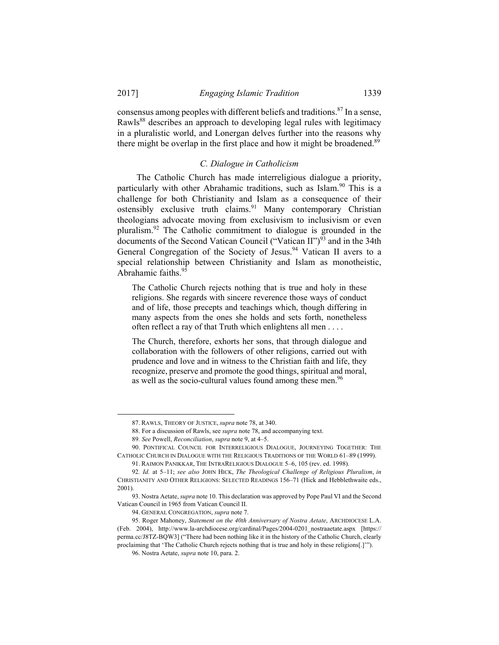l

consensus among peoples with different beliefs and traditions.<sup>87</sup> In a sense, Rawls<sup>88</sup> describes an approach to developing legal rules with legitimacy in a pluralistic world, and Lonergan delves further into the reasons why there might be overlap in the first place and how it might be broadened.<sup>89</sup>

#### *C. Dialogue in Catholicism*

The Catholic Church has made interreligious dialogue a priority, particularly with other Abrahamic traditions, such as Islam.<sup>90</sup> This is a challenge for both Christianity and Islam as a consequence of their ostensibly exclusive truth claims.<sup>91</sup> Many contemporary Christian theologians advocate moving from exclusivism to inclusivism or even pluralism.92 The Catholic commitment to dialogue is grounded in the documents of the Second Vatican Council ("Vatican II")<sup>93</sup> and in the 34th General Congregation of the Society of Jesus.<sup>94</sup> Vatican II avers to a special relationship between Christianity and Islam as monotheistic, Abrahamic faiths.<sup>95</sup>

The Catholic Church rejects nothing that is true and holy in these religions. She regards with sincere reverence those ways of conduct and of life, those precepts and teachings which, though differing in many aspects from the ones she holds and sets forth, nonetheless often reflect a ray of that Truth which enlightens all men . . . .

The Church, therefore, exhorts her sons, that through dialogue and collaboration with the followers of other religions, carried out with prudence and love and in witness to the Christian faith and life, they recognize, preserve and promote the good things, spiritual and moral, as well as the socio-cultural values found among these men.<sup>96</sup>

 <sup>87.</sup> RAWLS, THEORY OF JUSTICE, *supra* note 78, at 340.

 <sup>88.</sup> For a discussion of Rawls, see *supra* note 78, and accompanying text.

<sup>89</sup>*. See* Powell, *Reconciliation*, *supra* note 9, at 4–5.

 <sup>90.</sup> PONTIFICAL COUNCIL FOR INTERRELIGIOUS DIALOGUE, JOURNEYING TOGETHER: THE CATHOLIC CHURCH IN DIALOGUE WITH THE RELIGIOUS TRADITIONS OF THE WORLD 61–89 (1999).

 <sup>91.</sup> RAIMON PANIKKAR, THE INTRARELIGIOUS DIALOGUE 5–6, 105 (rev. ed. 1998).

<sup>92</sup>*. Id.* at 5–11; *see also* JOHN HICK, *The Theological Challenge of Religious Pluralism*, *in* CHRISTIANITY AND OTHER RELIGIONS: SELECTED READINGS 156–71 (Hick and Hebblethwaite eds., 2001).

 <sup>93.</sup> Nostra Aetate, *supra* note 10. This declaration was approved by Pope Paul VI and the Second Vatican Council in 1965 from Vatican Council II.

 <sup>94.</sup> GENERAL CONGREGATION, *supra* note 7.

 <sup>95.</sup> Roger Mahoney, *Statement on the 40th Anniversary of Nostra Aetate*, ARCHDIOCESE L.A. (Feb. 2004), http://www.la-archdiocese.org/cardinal/Pages/2004-0201\_nostraaetate.aspx [https:// perma.cc/J8TZ-BQW3] ("There had been nothing like it in the history of the Catholic Church, clearly proclaiming that 'The Catholic Church rejects nothing that is true and holy in these religions[.]'").

 <sup>96.</sup> Nostra Aetate, *supra* note 10, para. 2.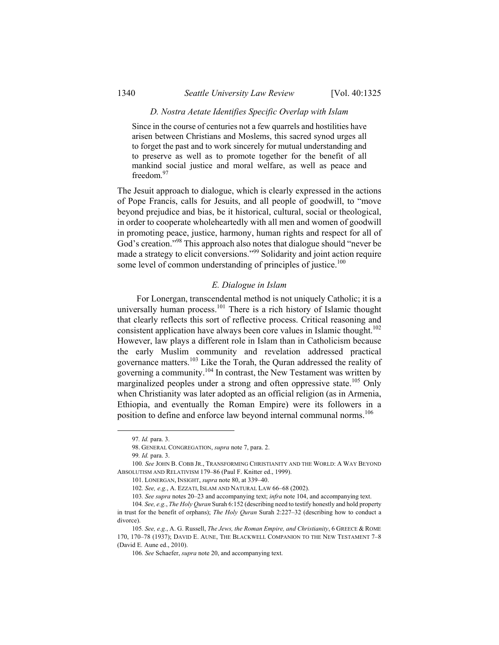#### *D. Nostra Aetate Identifies Specific Overlap with Islam*

Since in the course of centuries not a few quarrels and hostilities have arisen between Christians and Moslems, this sacred synod urges all to forget the past and to work sincerely for mutual understanding and to preserve as well as to promote together for the benefit of all mankind social justice and moral welfare, as well as peace and freedom.<sup>97</sup>

The Jesuit approach to dialogue, which is clearly expressed in the actions of Pope Francis, calls for Jesuits, and all people of goodwill, to "move beyond prejudice and bias, be it historical, cultural, social or theological, in order to cooperate wholeheartedly with all men and women of goodwill in promoting peace, justice, harmony, human rights and respect for all of God's creation."98 This approach also notes that dialogue should "never be made a strategy to elicit conversions."99 Solidarity and joint action require some level of common understanding of principles of justice.<sup>100</sup>

#### *E. Dialogue in Islam*

For Lonergan, transcendental method is not uniquely Catholic; it is a universally human process.<sup>101</sup> There is a rich history of Islamic thought that clearly reflects this sort of reflective process. Critical reasoning and consistent application have always been core values in Islamic thought.<sup>102</sup> However, law plays a different role in Islam than in Catholicism because the early Muslim community and revelation addressed practical governance matters.103 Like the Torah, the Quran addressed the reality of governing a community.<sup>104</sup> In contrast, the New Testament was written by marginalized peoples under a strong and often oppressive state.<sup>105</sup> Only when Christianity was later adopted as an official religion (as in Armenia, Ethiopia, and eventually the Roman Empire) were its followers in a position to define and enforce law beyond internal communal norms.<sup>106</sup>

 <sup>97</sup>*. Id.* para. 3.

 <sup>98.</sup> GENERAL CONGREGATION, *supra* note 7, para. 2.

<sup>99</sup>*. Id.* para. 3.

<sup>100</sup>*. See* JOHN B. COBB JR., TRANSFORMING CHRISTIANITY AND THE WORLD: A WAY BEYOND ABSOLUTISM AND RELATIVISM 179–86 (Paul F. Knitter ed., 1999).

 <sup>101.</sup> LONERGAN, INSIGHT, *supra* note 80, at 339–40.

<sup>102</sup>*. See, e.g.*, A. EZZATI, ISLAM AND NATURAL LAW 66–68 (2002).

<sup>103</sup>*. See supra* notes 20–23 and accompanying text; *infra* note 104, and accompanying text.

<sup>104</sup>*. See, e.g.*, *The Holy Quran* Surah 6:152 (describing need to testify honestly and hold property in trust for the benefit of orphans); *The Holy Quran* Surah 2:227–32 (describing how to conduct a divorce).

<sup>105</sup>*. See, e.g.*, A. G. Russell, *The Jews, the Roman Empire, and Christianity*, 6 GREECE & ROME 170, 170–78 (1937); DAVID E. AUNE, THE BLACKWELL COMPANION TO THE NEW TESTAMENT 7–8 (David E. Aune ed., 2010).

<sup>106</sup>*. See* Schaefer, *supra* note 20, and accompanying text.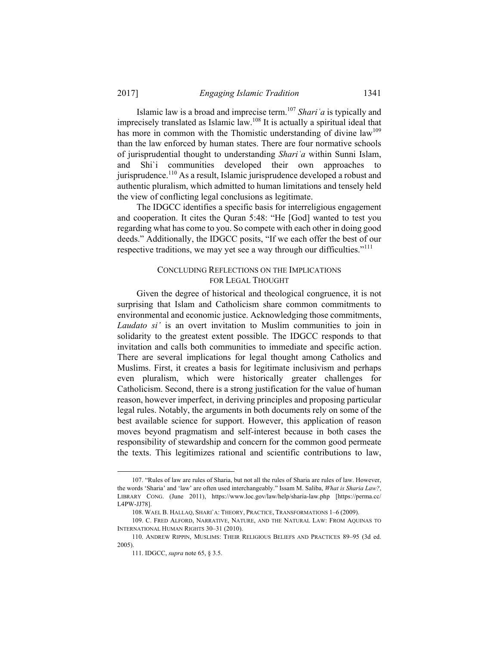Islamic law is a broad and imprecise term.<sup>107</sup> *Shariʿa* is typically and imprecisely translated as Islamic law.108 It is actually a spiritual ideal that has more in common with the Thomistic understanding of divine law<sup>109</sup> than the law enforced by human states. There are four normative schools of jurisprudential thought to understanding *Shariʿa* within Sunni Islam, and Shi`i communities developed their own approaches to jurisprudence.110 As a result, Islamic jurisprudence developed a robust and authentic pluralism, which admitted to human limitations and tensely held the view of conflicting legal conclusions as legitimate.

The IDGCC identifies a specific basis for interreligious engagement and cooperation. It cites the Quran 5:48: "He [God] wanted to test you regarding what has come to you. So compete with each other in doing good deeds." Additionally, the IDGCC posits, "If we each offer the best of our respective traditions, we may yet see a way through our difficulties."<sup>111</sup>

#### CONCLUDING REFLECTIONS ON THE IMPLICATIONS FOR LEGAL THOUGHT

Given the degree of historical and theological congruence, it is not surprising that Islam and Catholicism share common commitments to environmental and economic justice. Acknowledging those commitments, *Laudato si'* is an overt invitation to Muslim communities to join in solidarity to the greatest extent possible. The IDGCC responds to that invitation and calls both communities to immediate and specific action. There are several implications for legal thought among Catholics and Muslims. First, it creates a basis for legitimate inclusivism and perhaps even pluralism, which were historically greater challenges for Catholicism. Second, there is a strong justification for the value of human reason, however imperfect, in deriving principles and proposing particular legal rules. Notably, the arguments in both documents rely on some of the best available science for support. However, this application of reason moves beyond pragmatism and self-interest because in both cases the responsibility of stewardship and concern for the common good permeate the texts. This legitimizes rational and scientific contributions to law,

 <sup>107. &</sup>quot;Rules of law are rules of Sharia, but not all the rules of Sharia are rules of law. However, the words 'Sharia' and 'law' are often used interchangeably." Issam M. Saliba, *What is Sharia Law?*, LIBRARY CONG. (June 2011), https://www.loc.gov/law/help/sharia-law.php [https://perma.cc/ L4PW-JJ78].

 <sup>108.</sup> WAEL B. HALLAQ, SHARI`A: THEORY, PRACTICE, TRANSFORMATIONS 1–6 (2009).

 <sup>109.</sup> C. FRED ALFORD, NARRATIVE, NATURE, AND THE NATURAL LAW: FROM AQUINAS TO INTERNATIONAL HUMAN RIGHTS 30–31 (2010).

 <sup>110.</sup> ANDREW RIPPIN, MUSLIMS: THEIR RELIGIOUS BELIEFS AND PRACTICES 89–95 (3d ed. 2005).

 <sup>111.</sup> IDGCC, *supra* note 65, § 3.5.